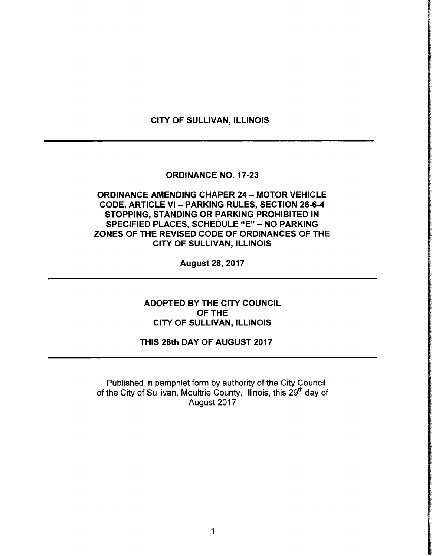## CITY OF SULLIVAN, ILLINOIS

## ORDINANCE NO. 17-23

# ORDINANCE AMENDING CHAPER 24 — MOTOR VEHICLE CODE, ARTICLE VI - PARKING RULES, SECTION 26-6-4 STOPPING, STANDING OR PARKING PROHIBITED IN SPECIFIED PLACES, SCHEDULE "E" - NO PARKING ZONES OF THE REVISED CODE OF ORDINANCES OF THE CITY OF SULLIVAN, ILLINOIS

August 28, 2017

ADOPTED BY THE CITY COUNCIL OF THE CITY OF SULLIVAN, ILLINOIS

# THIS 28th DAY OF AUGUST 2017

Published in pamphlet form by authority of the City Council of the City of Sullivan, Moultrie County, Illinois, this 29<sup>th</sup> day of August 2017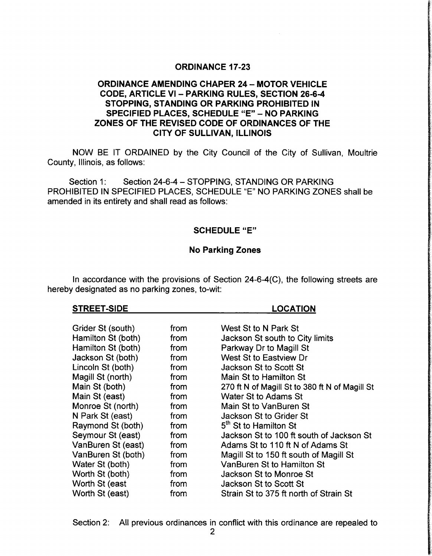## ORDINANCE 17-23

# ORDINANCE AMENDING CHAPER 24— MOTOR VEHICLE CODE, ARTICLE VI - PARKING RULES, SECTION 26-6-4 STOPPING, STANDING OR PARKING PROHIBITED IN SPECIFIED PLACES, SCHEDULE "E" - NO PARKING ZONES OF THE REVISED CODE OF ORDINANCES OF THE CITY OF SULLIVAN, ILLINOIS

NOW BE IT ORDAINED by the City Council of the City of Sullivan, Moultrie County, Illinois, as follows:

Section 1: Section 24-6-4 - STOPPING, STANDING OR PARKING PROHIBITED IN SPECIFIED PLACES, SCHEDULE "E" NO PARKING ZONES shall be amended in its entirety and shall read as follows:

## SCHEDULE "E"

#### No Parking Zones

In accordance with the provisions of Section  $24-6-4(C)$ , the following streets are hereby designated as no parking zones, to-wit:

#### STREET-SIDE LOCATION

| Grider St (south)  | from | West St to N Park St                           |
|--------------------|------|------------------------------------------------|
| Hamilton St (both) | from | Jackson St south to City limits                |
| Hamilton St (both) | from | Parkway Dr to Magill St                        |
| Jackson St (both)  | from | West St to Eastview Dr                         |
| Lincoln St (both)  | from | Jackson St to Scott St                         |
| Magill St (north)  | from | Main St to Hamilton St                         |
| Main St (both)     | from | 270 ft N of Magill St to 380 ft N of Magill St |
| Main St (east)     | from | Water St to Adams St                           |
| Monroe St (north)  | from | Main St to VanBuren St                         |
| N Park St (east)   | from | Jackson St to Grider St                        |
| Raymond St (both)  | from | 5 <sup>th</sup> St to Hamilton St              |
| Seymour St (east)  | from | Jackson St to 100 ft south of Jackson St       |
| VanBuren St (east) | from | Adams St to 110 ft N of Adams St               |
| VanBuren St (both) | from | Magill St to 150 ft south of Magill St         |
| Water St (both)    | from | VanBuren St to Hamilton St                     |
| Worth St (both)    | from | Jackson St to Monroe St                        |
| Worth St (east     | from | Jackson St to Scott St                         |
| Worth St (east)    | from | Strain St to 375 ft north of Strain St         |

Section 2: All previous ordinances in conflict with this ordinance are repealed to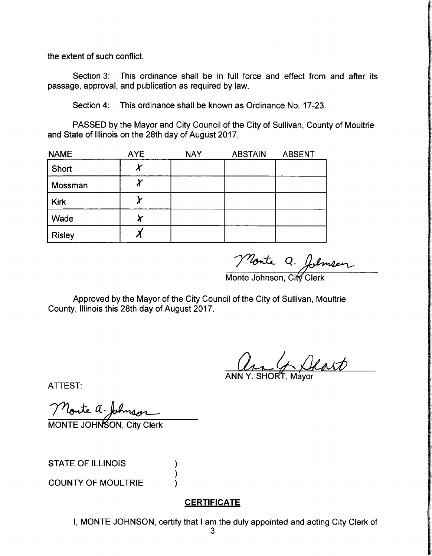the extent of such conflict.

Section 3: This ordinance shall be in full force and effect from and after its passage, approval, and publication as required by law.

Section 4: This ordinance shall be known as Ordinance No. 17-23.

PASSED by the Mayor and City Council of the City of Sullivan, County of Moultrie and State of Illinois on the 28th day of August 2017.

| <b>NAME</b>   | <b>AYE</b> | <b>NAY</b> | <b>ABSTAIN</b> | <b>ABSENT</b> |
|---------------|------------|------------|----------------|---------------|
| Short         |            |            |                |               |
| Mossman       | Л          |            |                |               |
| <b>Kirk</b>   |            |            |                |               |
| Wade          |            |            |                |               |
| <b>Risley</b> |            |            |                |               |

Monte Q. folméeur

Approved by the Mayor of the City Council of the City of Sullivan, Moultrie County, Illinois this 28th day of August 2017.

an 4 Deart

ANN Y. SHORT, Mayor

ATTEST:

Monte a. Johnson

STATE OF ILLINOIS

COUNTY OF MOULTRIE

## **CERTIFICATE**

I, MONTE JOHNSON, certify that <sup>I</sup> am the duly appointed and acting City Clerk of